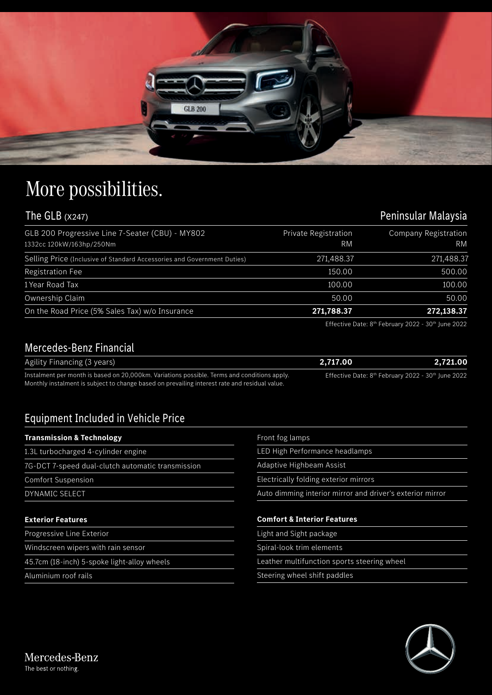

## More possibilities.

## The GLB (x247) The GLB (x247)

| GLB 200 Progressive Line 7-Seater (CBU) - MY802<br>1332cc 120kW/163hp/250Nm | Private Registration<br>RM | Company Registration<br><b>RM</b> |
|-----------------------------------------------------------------------------|----------------------------|-----------------------------------|
| Selling Price (Inclusive of Standard Accessories and Government Duties)     | 271,488.37                 | 271,488.37                        |
| <b>Registration Fee</b>                                                     | 150.00                     | 500.00                            |
| 1 Year Road Tax                                                             | 100.00                     | 100.00                            |
| Ownership Claim                                                             | 50.00                      | 50.00                             |
| On the Road Price (5% Sales Tax) w/o Insurance                              | 271,788.37                 | 272,138.37                        |

Effective Date: 8<sup>th</sup> February 2022 - 30<sup>th</sup> June 2022

## Mercedes-Benz Financial

| Agility Financing (3 years)                                                                   | 2.717.00                                                                   | 2.721.00 |
|-----------------------------------------------------------------------------------------------|----------------------------------------------------------------------------|----------|
| Instalment per month is based on 20,000km. Variations possible. Terms and conditions apply.   | Effective Date: 8 <sup>th</sup> February 2022 - 30 <sup>th</sup> June 2022 |          |
| Monthly instalment is subject to change based on prevailing interest rate and residual value. |                                                                            |          |

## Equipment Included in Vehicle Price

| <b>Transmission &amp; Technology</b>              | Front fog lamps                                           |
|---------------------------------------------------|-----------------------------------------------------------|
| 1.3L turbocharged 4-cylinder engine               | LED High Performance headlamps                            |
| 7G-DCT 7-speed dual-clutch automatic transmission | Adaptive Highbeam Assist                                  |
| <b>Comfort Suspension</b>                         | Electrically folding exterior mirrors                     |
| DYNAMIC SELECT                                    | Auto dimming interior mirror and driver's exterior mirror |
|                                                   |                                                           |
| <b>Exterior Features</b>                          | <b>Comfort &amp; Interior Features</b>                    |
| Progressive Line Exterior                         | Light and Sight package                                   |
| Windscreen wipers with rain sensor                | Spiral-look trim elements                                 |
| 45.7cm (18-inch) 5-spoke light-alloy wheels       | Leather multifunction sports steering wheel               |
| Aluminium roof rails                              | Steering wheel shift paddles                              |